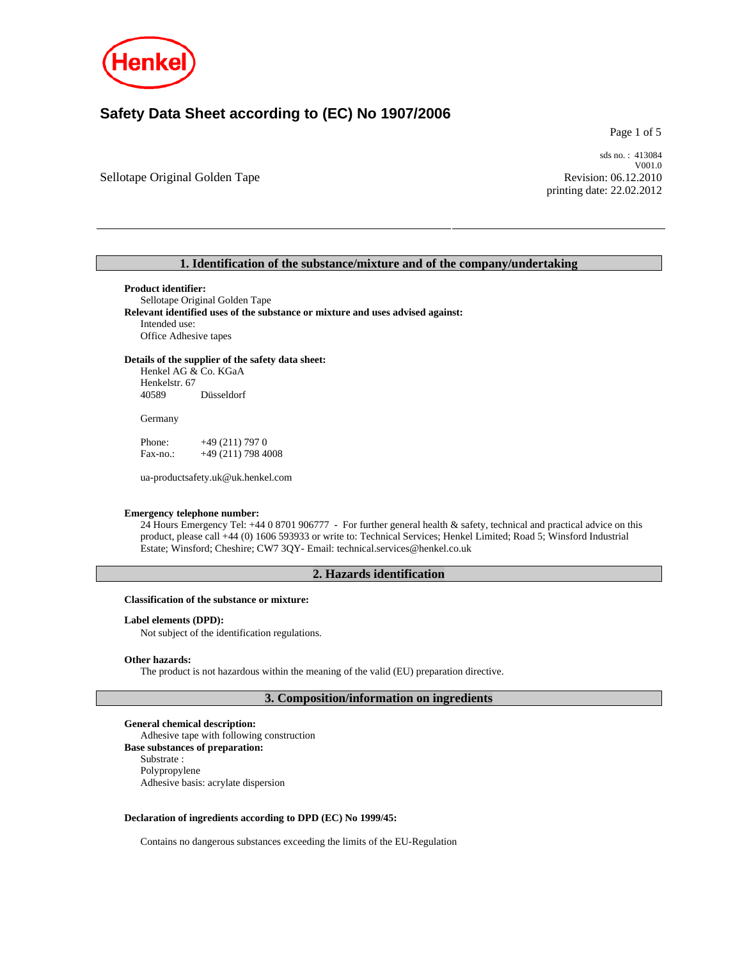

# **Safety Data Sheet according to (EC) No 1907/2006**

Page 1 of 5

Sellotape Original Golden Tape

sds no. : 413084 V001.0 Revision: 06.12.2010 printing date: 22.02.2012

## **1. Identification of the substance/mixture and of the company/undertaking**

**Product identifier:** 

Sellotape Original Golden Tape **Relevant identified uses of the substance or mixture and uses advised against:**  Intended use: Office Adhesive tapes

**Details of the supplier of the safety data sheet:** 

Henkel AG & Co. KGaA Henkelstr. 67<br>40589 Düsseldorf

Germany

Phone:  $+49(211)7970$ Fax-no.: +49 (211) 798 4008

ua-productsafety.uk@uk.henkel.com

#### **Emergency telephone number:**

24 Hours Emergency Tel: +44 0 8701 906777 - For further general health & safety, technical and practical advice on this product, please call +44 (0) 1606 593933 or write to: Technical Services; Henkel Limited; Road 5; Winsford Industrial Estate; Winsford; Cheshire; CW7 3QY- Email: technical.services@henkel.co.uk

## **2. Hazards identification**

**Classification of the substance or mixture:**

**Label elements (DPD):** 

Not subject of the identification regulations.

## **Other hazards:**

The product is not hazardous within the meaning of the valid (EU) preparation directive.

**3. Composition/information on ingredients** 

**General chemical description:**  Adhesive tape with following construction **Base substances of preparation:**  Substrate : Polypropylene Adhesive basis: acrylate dispersion

## **Declaration of ingredients according to DPD (EC) No 1999/45:**

Contains no dangerous substances exceeding the limits of the EU-Regulation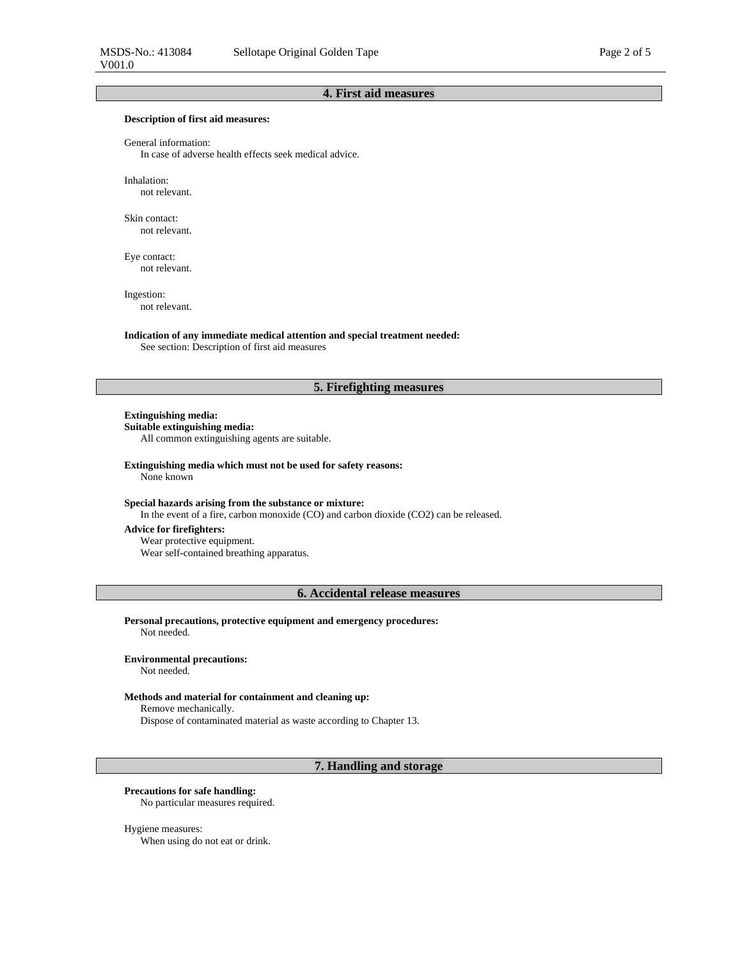## **4. First aid measures**

#### **Description of first aid measures:**

General information:

In case of adverse health effects seek medical advice.

Inhalation: not relevant.

Skin contact: not relevant.

Eye contact: not relevant.

Ingestion: not relevant.

**Indication of any immediate medical attention and special treatment needed:**  See section: Description of first aid measures

## **5. Firefighting measures**

## **Extinguishing media:**

**Suitable extinguishing media:**  All common extinguishing agents are suitable.

**Extinguishing media which must not be used for safety reasons:**  None known

#### **Special hazards arising from the substance or mixture:**

In the event of a fire, carbon monoxide (CO) and carbon dioxide (CO2) can be released.

## **Advice for firefighters:**

Wear protective equipment. Wear self-contained breathing apparatus.

**6. Accidental release measures** 

**Personal precautions, protective equipment and emergency procedures:**  Not needed.

## **Environmental precautions:**

Not needed.

#### **Methods and material for containment and cleaning up:**

Remove mechanically.

Dispose of contaminated material as waste according to Chapter 13.

## **7. Handling and storage**

## **Precautions for safe handling:**

No particular measures required.

## Hygiene measures:

When using do not eat or drink.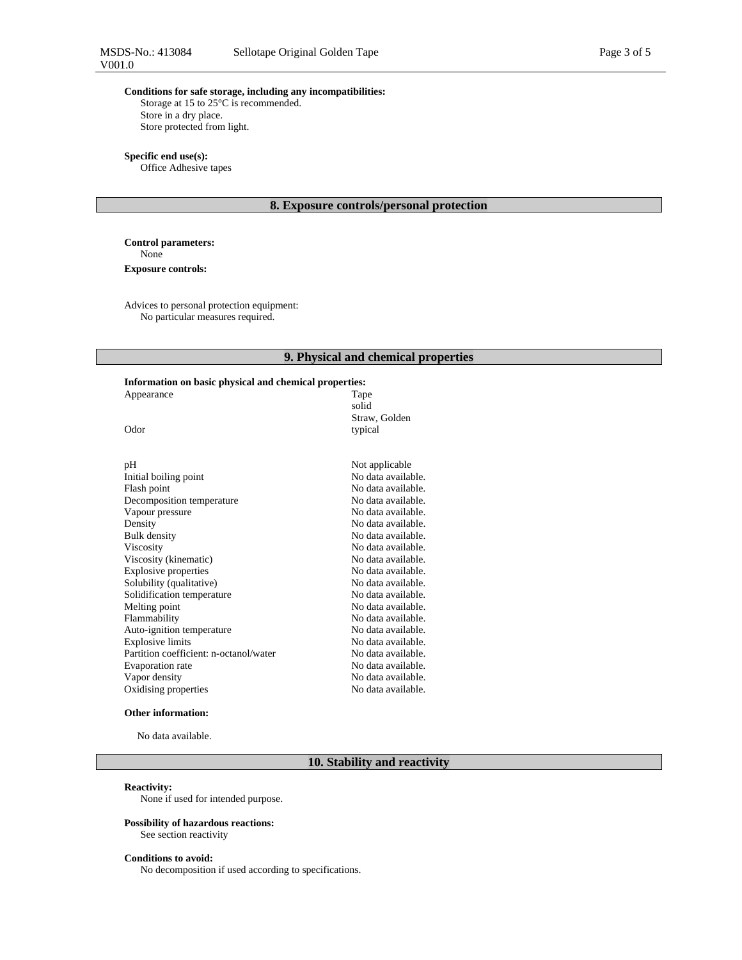## **Conditions for safe storage, including any incompatibilities:**

Storage at 15 to 25°C is recommended. Store in a dry place. Store protected from light.

**Specific end use(s):**  Office Adhesive tapes

## **8. Exposure controls/personal protection**

**Control parameters:**  None **Exposure controls:** 

Advices to personal protection equipment: No particular measures required.

## **9. Physical and chemical properties**

## **Information on basic physical and chemical properties:**

| Appearance                | Tape<br>solid            |
|---------------------------|--------------------------|
| Odor                      | Straw, Golden<br>typical |
|                           |                          |
| рH                        | Not applicable           |
| Initial boiling point     | No data available.       |
| Flash point               | No data available.       |
| Decomposition temperature | No data available.       |
| Vapour pressure           | No data available.       |
| Density                   | No data available.       |
| Bulk density              | No data available.       |
| Viscosity                 | No data available.       |
| Viscosity (kinematic)     | No data available.       |

| <b>Viscosity</b>                       | No data available. |
|----------------------------------------|--------------------|
| Viscosity (kinematic)                  | No data available. |
| Explosive properties                   | No data available. |
| Solubility (qualitative)               | No data available. |
| Solidification temperature             | No data available. |
| Melting point                          | No data available. |
| Flammability                           | No data available. |
| Auto-ignition temperature              | No data available. |
| <b>Explosive limits</b>                | No data available. |
| Partition coefficient: n-octanol/water | No data available. |
| Evaporation rate                       | No data available. |
| Vapor density                          | No data available. |
| Oxidising properties                   | No data available. |

#### **Other information:**

No data available.

## **10. Stability and reactivity**

#### **Reactivity:**

None if used for intended purpose.

## **Possibility of hazardous reactions:**

See section reactivity

## **Conditions to avoid:**

No decomposition if used according to specifications.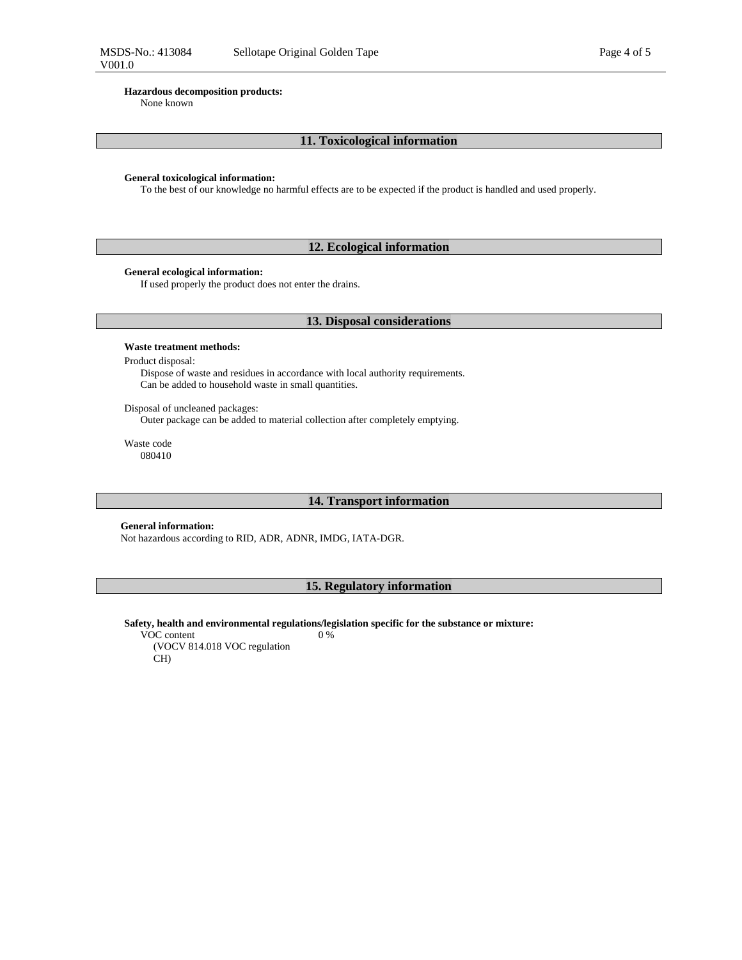None known

## **11. Toxicological information**

#### **General toxicological information:**

To the best of our knowledge no harmful effects are to be expected if the product is handled and used properly.

## **12. Ecological information**

## **General ecological information:**

If used properly the product does not enter the drains.

## **13. Disposal considerations**

## **Waste treatment methods:**

Product disposal:

Dispose of waste and residues in accordance with local authority requirements. Can be added to household waste in small quantities.

Disposal of uncleaned packages:

Outer package can be added to material collection after completely emptying.

Waste code 080410

## **14. Transport information**

## **General information:**

Not hazardous according to RID, ADR, ADNR, IMDG, IATA-DGR.

## **15. Regulatory information**

**Safety, health and environmental regulations/legislation specific for the substance or mixture:**  0 %

VOC content (VOCV 814.018 VOC regulation CH)